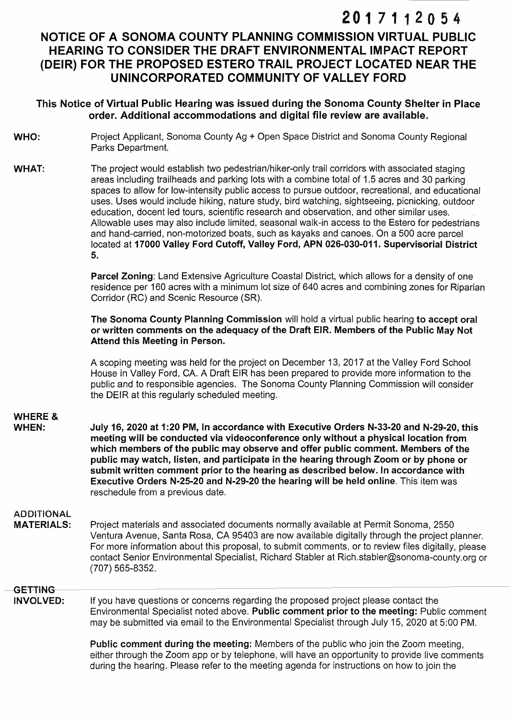# 2017112054

## NOTICE OF A SONOMA COUNTY PLANNING COMMISSION VIRTUAL PUBLIC HEARING TO CONSIDER THE DRAFT ENVIRONMENTAL IMPACT REPORT (DEIR) FOR THE PROPOSED ESTERO TRAIL PROJECT LOCATED NEAR THE UNINCORPORATED COMMUNITY OF VALLEY FORD

#### **This Notice of Virtual Public Hearing was issued during the Sonoma County Shelter in Place order. Additional accommodations and digital file review are available.**

- **WHO:**  Project Applicant, Sonoma County Ag + Open Space District and Sonoma County Regional Parks Department.
- **WHAT:**  The project would establish two pedestrian/hiker-only trail corridors with associated staging areas including trailheads and parking lots with a combine total of 1.5 acres and 30 parking spaces to allow for low-intensity public access to pursue outdoor, recreational, and educational uses. Uses would include hiking, nature study, bird watching, sightseeing, picnicking, outdoor education, docent led tours, scientific research and observation, and other similar uses. Allowable uses may also include limited, seasonal walk-in access to the Estero for pedestrians and hand-carried, non-motorized boats, such as kayaks and canoes. On a 500 acre parcel located at 17000 Valley Ford Cutoff, Valley Ford, APN 026-030-011. Supervisorial District **5.**

**Parcel Zoning:** Land Extensive Agriculture Coastal District, which allows for a density of one residence per 160 acres with a minimum lot size of 640 acres and combining zones for Riparian Corridor (RC) and Scenic Resource (SR).

**The Sonoma County Planning Commission** will hold a virtual public hearing **to accept oral or written comments on the adequacy of the Draft EIR. Members of the Public May Not Attend this Meeting in Person.** 

A scoping meeting was held for the project on December 13, 2017 at the Valley Ford School House in Valley Ford, CA. A Draft EIR has been prepared to provide more information to the public and to responsible agencies. The Sonoma County Planning Commission will consider the DEIR at this regularly scheduled meeting.

### **WHERE** &

**WHEN:** 

July 16, 2020 at 1:20 PM, In accordance with Executive Orders N-33-20 and N-29-20, this meeting will be conducted via videoconference only without a physical location from **which members of the public may observe and offer public comment. Members of the public may watch, listen, and participate in the hearing through Zoom or by phone or submit written comment prior to the hearing as described below. In accordance with Executive Orders N-25-20 and N-29-20 the hearing will be held online.** This item was reschedule from a previous date.

#### **ADDITIONAL**

**MATERIALS:**  Project materials and associated documents normally available at Permit Sonoma, 2550 Ventura Avenue, Santa Rosa, CA 95403 are now available digitally through the project planner. For more information about this proposal, to submit comments, or to review files digitally, please contact Senior Environmental Specialist, Richard Stabler at Rich.stabler@sonoma-county.org or (707) 565-8352.

#### **GETTING**

**INVOLVED:**  If you have questions or concerns regarding the proposed project please contact the Environmentai Specialist noted above. **Public comment prior to the meeting:** Public comment may be submitted via email to the Environmental Specialist through July 15, 2020 at 5:00 PM.

> **Public comment during the meeting:** Members of the public who join the Zoom meeting, either through the Zoom app or by telephone, will have an opportunity to provide live comments during the hearing. Please refer to the meeting agenda for instructions on how to join the